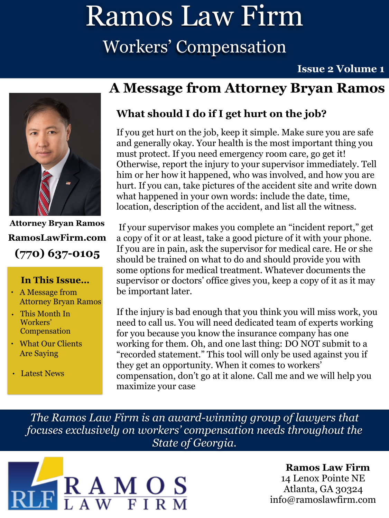## Ramos Law Firm Workers' Compensation

**Issue 2 Volume 1** 



**Attorney Bryan Ramos (770) 637-0105 [RamosLawFirm.com](http://ramoslawfirm.com)**

#### **In This Issue…**

- A Message from Attorney Bryan Ramos
- This Month In Workers' Compensation
- What Our Clients Are Saying
- Latest News

## **A Message from Attorney Bryan Ramos**

### **What should I do if I get hurt on the job?**

If you get hurt on the job, keep it simple. Make sure you are safe and generally okay. Your health is the most important thing you must protect. If you need emergency room care, go get it! Otherwise, report the injury to your supervisor immediately. Tell him or her how it happened, who was involved, and how you are hurt. If you can, take pictures of the accident site and write down what happened in your own words: include the date, time, location, description of the accident, and list all the witness.

 If your supervisor makes you complete an "incident report," get a copy of it or at least, take a good picture of it with your phone. If you are in pain, ask the supervisor for medical care. He or she should be trained on what to do and should provide you with some options for medical treatment. Whatever documents the supervisor or doctors' office gives you, keep a copy of it as it may be important later.

If the injury is bad enough that you think you will miss work, you need to call us. You will need dedicated team of experts working for you because you know the insurance company has one working for them. Oh, and one last thing: DO NOT submit to a "recorded statement." This tool will only be used against you if they get an opportunity. When it comes to workers' compensation, don't go at it alone. Call me and we will help you maximize your case

*The Ramos Law Firm is an award-winning group of lawyers that focuses exclusively on workers' compensation needs throughout the State of Georgia.*



### **Ramos Law Firm**

14 Lenox Pointe NE Atlanta, GA 30324 [info@ramoslawfirm.com](mailto:info@ramoslawfirm.com?subject=)